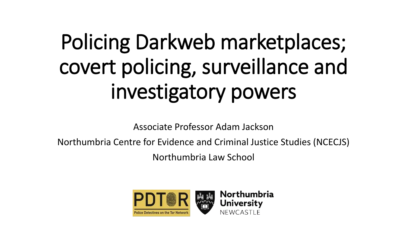# Policing Darkweb marketplaces; covert policing, surveillance and investigatory powers

Associate Professor Adam Jackson

Northumbria Centre for Evidence and Criminal Justice Studies (NCECJS)

Northumbria Law School



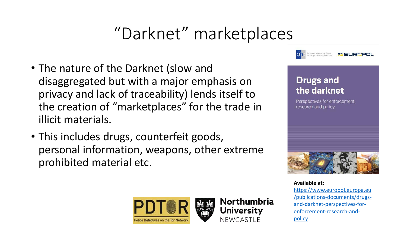### "Darknet" marketplaces

- The nature of the Darknet (slow and disaggregated but with a major emphasis on privacy and lack of traceability) lends itself to the creation of "marketplaces" for the trade in illicit materials.
- This includes drugs, counterfeit goods, personal information, weapons, other extreme prohibited material etc.



#### **Drugs and** the darknet

Perspectives for enforcement, research and policy



**Available at:** [https://www.europol.europa.eu](https://www.europol.europa.eu/publications-documents/drugs-and-darknet-perspectives-for-enforcement-research-and-policy) [/publications-documents/drugs](https://www.europol.europa.eu/publications-documents/drugs-and-darknet-perspectives-for-enforcement-research-and-policy)[and-darknet-perspectives-for](https://www.europol.europa.eu/publications-documents/drugs-and-darknet-perspectives-for-enforcement-research-and-policy)[enforcement-research-and](https://www.europol.europa.eu/publications-documents/drugs-and-darknet-perspectives-for-enforcement-research-and-policy)[policy](https://www.europol.europa.eu/publications-documents/drugs-and-darknet-perspectives-for-enforcement-research-and-policy)



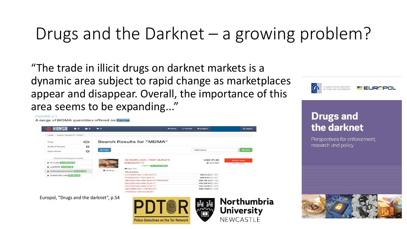### Drugs and the Darknet – a growing problem?

NEWCASTLE

"The trade in illicit drugs on darknet markets is a dynamic area subject to rapid change as marketplaces appear and disappear. Overall, the importance of this area seems to be expanding..."

#### FIGURE 3.1



**Police Detectives on the Tor Network** 



#### **Drugs and** the darknet

Perspectives for enforcement, research and policy

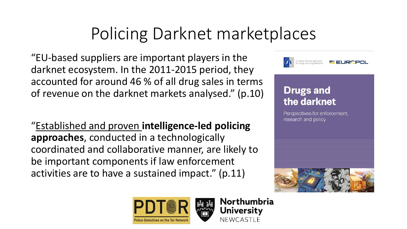### Policing Darknet marketplaces

"EU-based suppliers are important players in the darknet ecosystem. In the 2011-2015 period, they accounted for around 46 % of all drug sales in terms of revenue on the darknet markets analysed." (p.10)

"Established and proven **intelligence-led policing approaches**, conducted in a technologically coordinated and collaborative manner, are likely to be important components if law enforcement activities are to have a sustained impact." (p.11)



#### **Drugs and** the darknet

Perspectives for enforcement, research and policy





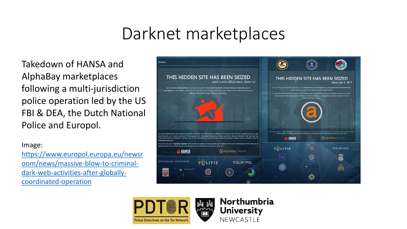### Darknet marketplaces

Takedown of HANSA and AlphaBay marketplaces following a multi-jurisdiction police operation led by the US FBI & DEA, the Dutch National Police and Europol.

Image:

[https://www.europol.europa.eu/newsr](https://www.europol.europa.eu/newsroom/news/massive-blow-to-criminal-dark-web-activities-after-globally-coordinated-operation) [oom/news/massive-blow-to-criminal](https://www.europol.europa.eu/newsroom/news/massive-blow-to-criminal-dark-web-activities-after-globally-coordinated-operation)[dark-web-activities-after-globally](https://www.europol.europa.eu/newsroom/news/massive-blow-to-criminal-dark-web-activities-after-globally-coordinated-operation)[coordinated-operation](https://www.europol.europa.eu/newsroom/news/massive-blow-to-criminal-dark-web-activities-after-globally-coordinated-operation)





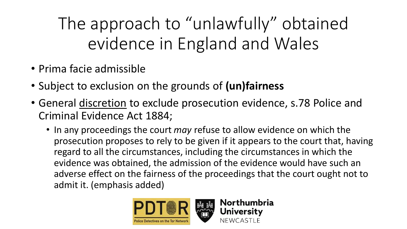The approach to "unlawfully" obtained evidence in England and Wales

- Prima facie admissible
- Subject to exclusion on the grounds of **(un)fairness**
- General discretion to exclude prosecution evidence, s.78 Police and Criminal Evidence Act 1884;
	- In any proceedings the court *may* refuse to allow evidence on which the prosecution proposes to rely to be given if it appears to the court that, having regard to all the circumstances, including the circumstances in which the evidence was obtained, the admission of the evidence would have such an adverse effect on the fairness of the proceedings that the court ought not to admit it. (emphasis added)

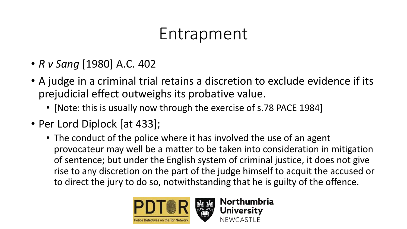#### Entrapment

- *R v Sang* [1980] A.C. 402
- A judge in a criminal trial retains a discretion to exclude evidence if its prejudicial effect outweighs its probative value.
	- [Note: this is usually now through the exercise of s.78 PACE 1984]
- Per Lord Diplock [at 433];
	- The conduct of the police where it has involved the use of an agent provocateur may well be a matter to be taken into consideration in mitigation of sentence; but under the English system of criminal justice, it does not give rise to any discretion on the part of the judge himself to acquit the accused or to direct the jury to do so, notwithstanding that he is guilty of the offence.

Northumbria

**University** 

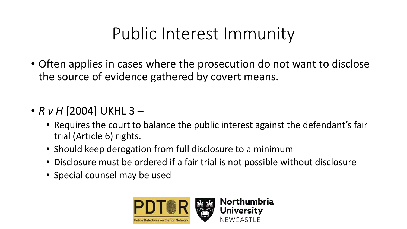#### Public Interest Immunity

- Often applies in cases where the prosecution do not want to disclose the source of evidence gathered by covert means.
- *R v H* [2004] UKHL 3
	- Requires the court to balance the public interest against the defendant's fair trial (Article 6) rights.
	- Should keep derogation from full disclosure to a minimum
	- Disclosure must be ordered if a fair trial is not possible without disclosure
	- Special counsel may be used

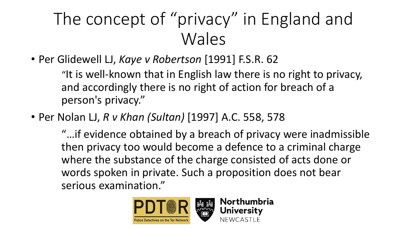### The concept of "privacy" in England and Wales

• Per Glidewell LJ, *Kaye v Robertson* [1991] F.S.R. 62

"It is well-known that in English law there is no right to privacy, and accordingly there is no right of action for breach of a person's privacy."

• Per Nolan LJ, *R v Khan (Sultan)* [1997] A.C. 558, 578

"…if evidence obtained by a breach of privacy were inadmissible then privacy too would become a defence to a criminal charge where the substance of the charge consisted of acts done or words spoken in private. Such a proposition does not bear serious examination."

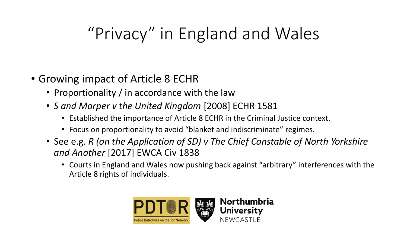### "Privacy" in England and Wales

- Growing impact of Article 8 ECHR
	- Proportionality / in accordance with the law
	- *S and Marper v the United Kingdom* [2008] ECHR 1581
		- Established the importance of Article 8 ECHR in the Criminal Justice context.
		- Focus on proportionality to avoid "blanket and indiscriminate" regimes.
	- See e.g. *R (on the Application of SD) v The Chief Constable of North Yorkshire and Another* [2017] EWCA Civ 1838
		- Courts in England and Wales now pushing back against "arbitrary" interferences with the Article 8 rights of individuals.

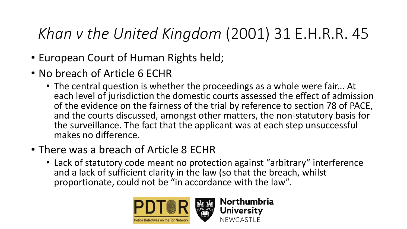#### *Khan v the United Kingdom* (2001) 31 E.H.R.R. 45

- European Court of Human Rights held;
- No breach of Article 6 ECHR
	- The central question is whether the proceedings as a whole were fair... At each level of jurisdiction the domestic courts assessed the effect of admission of the evidence on the fairness of the trial by reference to section 78 of PACE, and the courts discussed, amongst other matters, the non-statutory basis for the surveillance. The fact that the applicant was at each step unsuccessful makes no difference.
- There was a breach of Article 8 ECHR
	- Lack of statutory code meant no protection against "arbitrary" interference and a lack of sufficient clarity in the law (so that the breach, whilst proportionate, could not be "in accordance with the law".

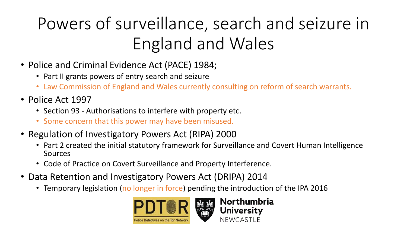## Powers of surveillance, search and seizure in England and Wales

- Police and Criminal Evidence Act (PACE) 1984;
	- Part II grants powers of entry search and seizure
	- Law Commission of England and Wales currently consulting on reform of search warrants.
- Police Act 1997
	- Section 93 Authorisations to interfere with property etc.
	- Some concern that this power may have been misused.
- Regulation of Investigatory Powers Act (RIPA) 2000
	- Part 2 created the initial statutory framework for Surveillance and Covert Human Intelligence Sources

Northumbria

**University** 

**NEWCASTLE** 

- Code of Practice on Covert Surveillance and Property Interference.
- Data Retention and Investigatory Powers Act (DRIPA) 2014
	- Temporary legislation (no longer in force) pending the introduction of the IPA 2016

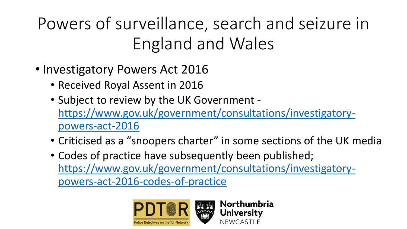Powers of surveillance, search and seizure in England and Wales

- Investigatory Powers Act 2016
	- Received Royal Assent in 2016
	- Subject to review by the UK Government [https://www.gov.uk/government/consultations/investigatory](https://www.gov.uk/government/consultations/investigatory-powers-act-2016)[powers-act-2016](https://www.gov.uk/government/consultations/investigatory-powers-act-2016)
	- Criticised as a "snoopers charter" in some sections of the UK media

Northumbria

**University** 

NEWCASTI F

• Codes of practice have subsequently been published; [https://www.gov.uk/government/consultations/investigatory](https://www.gov.uk/government/consultations/investigatory-powers-act-2016-codes-of-practice)[powers-act-2016-codes-of-practice](https://www.gov.uk/government/consultations/investigatory-powers-act-2016-codes-of-practice)

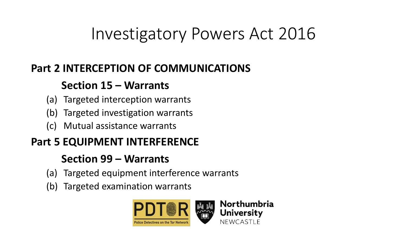### Investigatory Powers Act 2016

#### **Part 2 INTERCEPTION OF COMMUNICATIONS**

#### **Section 15 – Warrants**

- (a) Targeted interception warrants
- (b) Targeted investigation warrants
- (c) Mutual assistance warrants

#### **Part 5 EQUIPMENT INTERFERENCE**

#### **Section 99 – Warrants**

- (a) Targeted equipment interference warrants
- (b) Targeted examination warrants

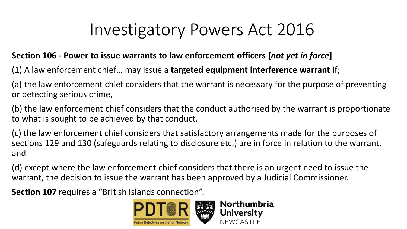### Investigatory Powers Act 2016

#### **Section 106 - Power to issue warrants to law enforcement officers [***not yet in force***]**

(1) A law enforcement chief… may issue a **targeted equipment interference warrant** if;

(a) the law enforcement chief considers that the warrant is necessary for the purpose of preventing or detecting serious crime,

(b) the law enforcement chief considers that the conduct authorised by the warrant is proportionate to what is sought to be achieved by that conduct,

(c) the law enforcement chief considers that satisfactory arrangements made for the purposes of sections 129 and 130 (safeguards relating to disclosure etc.) are in force in relation to the warrant, and

(d) except where the law enforcement chief considers that there is an urgent need to issue the warrant, the decision to issue the warrant has been approved by a Judicial Commissioner.

**Section 107** requires a "British Islands connection".

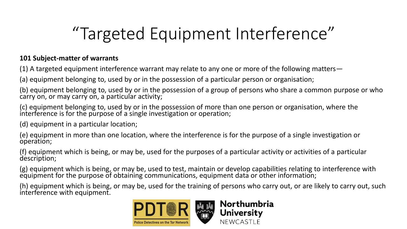### "Targeted Equipment Interference"

#### **101 Subject-matter of warrants**

(1) A targeted equipment interference warrant may relate to any one or more of the following matters—

(a) equipment belonging to, used by or in the possession of a particular person or organisation;

(b) equipment belonging to, used by or in the possession of a group of persons who share a common purpose or who carry on, or may carry on, a particular activity;

(c) equipment belonging to, used by or in the possession of more than one person or organisation, where the interference is for the purpose of a single investigation or operation;

(d) equipment in a particular location;

(e) equipment in more than one location, where the interference is for the purpose of a single investigation or operation;

(f) equipment which is being, or may be, used for the purposes of a particular activity or activities of a particular description;

(g) equipment which is being, or may be, used to test, maintain or develop capabilities relating to interference with equipment for the purpose of obtaining communications, equipment data or other information;

(h) equipment which is being, or may be, used for the training of persons who carry out, or are likely to carry out, such interference with equipment.

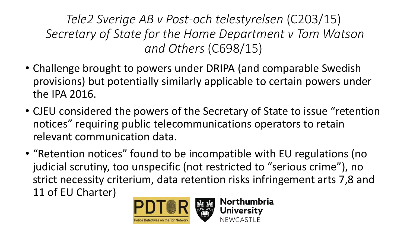*Tele2 Sverige AB v Post-och telestyrelsen* (C203/15) *Secretary of State for the Home Department v Tom Watson and Others* (C698/15)

- Challenge brought to powers under DRIPA (and comparable Swedish provisions) but potentially similarly applicable to certain powers under the IPA 2016.
- CJEU considered the powers of the Secretary of State to issue "retention notices" requiring public telecommunications operators to retain relevant communication data.
- "Retention notices" found to be incompatible with EU regulations (no judicial scrutiny, too unspecific (not restricted to "serious crime"), no strict necessity criterium, data retention risks infringement arts 7,8 and 11 of EU Charter)Northumbria